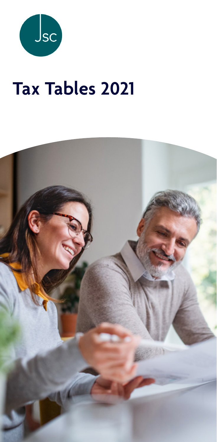

# **Tax Tables 2021**

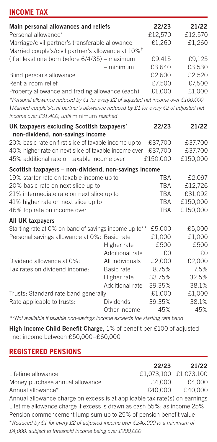# **INCOME TAX**

| Main personal allowances and reliefs                                                   |                 | 22/23      | 21/22    |
|----------------------------------------------------------------------------------------|-----------------|------------|----------|
| Personal allowance*                                                                    |                 | £12,570    | £12,570  |
| Marriage/civil partner's transferable allowance                                        | £1,260          | £1,260     |          |
| Married couple's/civil partner's allowance at 10% <sup>†</sup>                         |                 |            |          |
| (if at least one born before 6/4/35) - maximum                                         |                 | £9,415     | £9.125   |
|                                                                                        | $-$ minimum     | £3,640     | £3,530   |
| Blind person's allowance                                                               |                 | £2,600     | £2,520   |
| Rent-a-room relief                                                                     |                 | £7,500     | £7,500   |
| Property allowance and trading allowance (each)                                        |                 | £1,000     | £1,000   |
| *Personal allowance reduced by £1 for every £2 of adjusted net income over £100,000    |                 |            |          |
| †Married couple's/civil partner's allowance reduced by £1 for every £2 of adjusted net |                 |            |          |
| income over £31.400, until minimum reached                                             |                 |            |          |
| UK taxpayers excluding Scottish taxpayers'                                             |                 | 22/23      | 21/22    |
| non-dividend, non-savings income                                                       |                 |            |          |
| 20% basic rate on first slice of taxable income up to                                  |                 | £37,700    | £37,700  |
| 40% higher rate on next slice of taxable income over                                   |                 | £37,700    | £37,700  |
| 45% additional rate on taxable income over                                             |                 | £150,000   | £150,000 |
| Scottish taxpayers - non-dividend, non-savings income                                  |                 |            |          |
| 19% starter rate on taxable income up to                                               |                 | <b>TRA</b> | £2,097   |
| 20% basic rate on next slice up to                                                     |                 | <b>TRA</b> | £12,726  |
| 21% intermediate rate on next slice up to                                              |                 | <b>TRA</b> | £31,092  |
| 41% higher rate on next slice up to                                                    |                 | <b>TRA</b> | £150,000 |
| 46% top rate on income over                                                            |                 | <b>TRA</b> | £150,000 |
| All UK taxpayers                                                                       |                 |            |          |
| Starting rate at 0% on band of savings income up to**                                  |                 | £5,000     | £5,000   |
| Personal savings allowance at 0%: Basic rate                                           |                 | £1,000     | £1,000   |
|                                                                                        | Higher rate     | £500       | £500     |
|                                                                                        | Additional rate | £0         | f.0      |
| Dividend allowance at 0%:                                                              | All individuals | £2,000     | £2,000   |
| Tax rates on dividend income:                                                          | Basic rate      | 8.75%      | 7.5%     |
|                                                                                        | Higher rate     | 33.75%     | 32.5%    |
|                                                                                        | Additional rate | 39.35%     | 38.1%    |
| Trusts: Standard rate band generally                                                   |                 | £1,000     | £1,000   |
| Rate applicable to trusts:                                                             | Dividends       | 39.35%     | 38.1%    |
|                                                                                        | Other income    | 45%        | 45%      |
|                                                                                        |                 |            |          |

*\*\*Not available if taxable non-savings income exceeds the starting rate band*

**High Income Child Benefit Charge,** 1% of benefit per £100 of adjusted net income between £50,000–£60,000

## **REGISTERED PENSIONS**

|                                                                              | 22/23   | 21/22                 |
|------------------------------------------------------------------------------|---------|-----------------------|
| Lifetime allowance                                                           |         | £1.073.100 £1.073.100 |
| Money purchase annual allowance                                              | £4.000  | £4.000                |
| Annual allowance*                                                            | £40.000 | £40,000               |
| Annual allowance charge on excess is at applicable tax rate(s) on earnings   |         |                       |
| Lifetime allowance charge if excess is drawn as cash 55%; as income 25%      |         |                       |
| Pension commencement lump sum up to 25% of pension benefit value             |         |                       |
| *Reduced by £1 for every £2 of adjusted income over £240,000 to a minimum of |         |                       |
| £4,000, subject to threshold income being over £200,000                      |         |                       |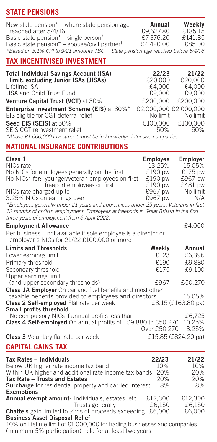# **STATE PENSIONS**

| New state pension* – where state pension age                                    | Annual    | Weekly  |
|---------------------------------------------------------------------------------|-----------|---------|
| reached after 5/4/16                                                            | £9.627.80 | £185.15 |
| Basic state pension* – single person <sup>†</sup>                               | £7,376,20 | £141.85 |
| Basic state pension* - spouse/civil partner <sup>†</sup>                        | £4,420.00 | £85.00  |
| *Based on 3.1% CPI to 9/21 amounts TBC +State pension age reached before 6/4/16 |           |         |
|                                                                                 |           |         |

# **TAX INCENTIVISED INVESTMENT**

| <b>Total Individual Savings Account (ISA)</b>                                      | 22/23                             | 21/22    |
|------------------------------------------------------------------------------------|-----------------------------------|----------|
| limit, excluding Junior ISAs (JISAs)                                               | £20,000                           | £20,000  |
| Lifetime ISA                                                                       | £4.000                            | £4.000   |
| JISA and Child Trust Fund                                                          | £9,000                            | £9,000   |
| Venture Capital Trust (VCT) at 30%                                                 | £200,000                          | £200,000 |
| Enterprise Investment Scheme (EIS) at 30%*<br>EIS eligible for CGT deferral relief | £2,000,000 £2,000,000<br>No limit | No limit |
| Seed EIS (SEIS) at 50%                                                             | £100,000                          | £100,000 |
| SEIS CGT reinvestment relief                                                       | 50%                               | 50%      |
| *Above £1,000,000 investment must be in knowledge-intensive companies              |                                   |          |

# **NATIONAL INSURANCE CONTRIBUTIONS**

| Class <sub>1</sub><br>NICs rate<br>No NICs for employees generally on the first<br>No NICs* for: younger/veteran employees on first<br>freeport employees on first<br>NICs rate charged up to<br>3.25% NICs on earnings over<br>*Employees generally under 21 years and apprentices under 25 years. Veterans in first<br>12 months of civilian employment. Employees at freeports in Great Britain in the first<br>three years of employment from 6 April 2022. | <b>Employee</b><br>13.25%<br>£190 pw<br>£190 pw<br>£190 pw<br>£967 pw<br>£967 pw | <b>Employer</b><br>15.05%<br>£175 pw<br>£967 pw<br>£481 pw<br>No limit<br>N/A |
|-----------------------------------------------------------------------------------------------------------------------------------------------------------------------------------------------------------------------------------------------------------------------------------------------------------------------------------------------------------------------------------------------------------------------------------------------------------------|----------------------------------------------------------------------------------|-------------------------------------------------------------------------------|
| <b>Employment Allowance</b>                                                                                                                                                                                                                                                                                                                                                                                                                                     |                                                                                  | £4,000                                                                        |
| Per business - not available if sole employee is a director or<br>employer's NICs for 21/22 £100,000 or more                                                                                                                                                                                                                                                                                                                                                    |                                                                                  |                                                                               |
| <b>Limits and Thresholds</b>                                                                                                                                                                                                                                                                                                                                                                                                                                    | Weekly                                                                           | Annual                                                                        |
| Lower earnings limit                                                                                                                                                                                                                                                                                                                                                                                                                                            | £123                                                                             | £6,396                                                                        |
| Primary threshold                                                                                                                                                                                                                                                                                                                                                                                                                                               | £190                                                                             | £9,880                                                                        |
| Secondary threshold                                                                                                                                                                                                                                                                                                                                                                                                                                             | £175                                                                             | £9,100                                                                        |
| Upper earnings limit                                                                                                                                                                                                                                                                                                                                                                                                                                            |                                                                                  |                                                                               |
| (and upper secondary thresholds)                                                                                                                                                                                                                                                                                                                                                                                                                                | £967                                                                             | £50,270                                                                       |
| Class 1A Employer On car and fuel benefits and most other<br>taxable benefits provided to employees and directors<br>Class 2 Self-employed Flat rate per week<br>Small profits threshold                                                                                                                                                                                                                                                                        |                                                                                  | 15.05%<br>£3.15 (£163.80 pa)                                                  |
| No compulsory NICs if annual profits less than                                                                                                                                                                                                                                                                                                                                                                                                                  |                                                                                  | £6,725                                                                        |
| Class 4 Self-employed On annual profits of £9,880 to £50,270: 10.25%                                                                                                                                                                                                                                                                                                                                                                                            |                                                                                  | Over £50,270: 3.25%                                                           |
| <b>Class 3</b> Voluntary flat rate per week                                                                                                                                                                                                                                                                                                                                                                                                                     |                                                                                  | £15.85 (£824.20 pa)                                                           |
| <b>CAPITAL GAINS TAX</b>                                                                                                                                                                                                                                                                                                                                                                                                                                        |                                                                                  |                                                                               |

| Tax Rates - Individuals                                                  | 22/23   | 21/22   |
|--------------------------------------------------------------------------|---------|---------|
| Below UK higher rate income tax band                                     | 10%     | 10%     |
| Within UK higher and additional rate income tax bands 20%                |         | 20%     |
| Tax Rate - Trusts and Estates                                            | 20%     | 20%     |
| <b>Surcharge</b> for residential property and carried interest           | 8%      | 8%      |
| <b>Exemptions</b>                                                        |         |         |
| Annual exempt amount: Individuals, estates, etc.                         | £12.300 | £12,300 |
| Trusts generally                                                         | £6.150  | £6.150  |
| <b>Chattels</b> gain limited to %rds of proceeds exceeding               | £6.000  | £6,000  |
| <b>Business Asset Disposal Relief</b>                                    |         |         |
| 10% on lifetime limit of £1,000,000 for trading businesses and companies |         |         |

10% on lifetime limit of £1,000,000 for trading businesses and companies (minimum 5% participation) held for at least two years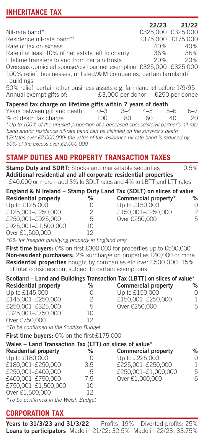# **INHERITANCE TAX**

|                                                                                 |                   | 22/23 21/22       |
|---------------------------------------------------------------------------------|-------------------|-------------------|
| Nil-rate band*                                                                  | £325,000 £325,000 |                   |
| Residence nil-rate band* <sup>†</sup>                                           |                   | £175,000 £175,000 |
| Rate of tax on excess                                                           | 40%               | 40%               |
| Rate if at least 10% of net estate left to charity                              |                   | 36% 36%           |
| Lifetime transfers to and from certain trusts                                   |                   | 20% 20%           |
| Overseas domiciled spouse/civil partner exemption £325,000 £325,000             |                   |                   |
| 100% relief: businesses, unlisted/AIM companies, certain farmland/<br>buildings |                   |                   |
| 50% relief: certain other business assets e.g. farmland let before 1/9/95       |                   |                   |
| £3,000 per donor £250 per donee<br>Annual exempt gifts of:                      |                   |                   |
| Tapered tax charge on lifetime gifts within 7 years of death                    |                   |                   |

| Years between gift and death                                                          | $0 - 3$ | $-3-4$ | $4 - 5$ | 5-6           | $6 - 7$ |
|---------------------------------------------------------------------------------------|---------|--------|---------|---------------|---------|
| % of death tax charge                                                                 | 100     | 80     | GΩ      | $\Delta \cap$ | 20      |
| * Up to 100% of the unused proportion of a deceased spouse's/civil partner's nil-rate |         |        |         |               |         |
| band and/or residence nil-rate band can be claimed on the survivor's death            |         |        |         |               |         |
| t Estates over £2,000,000; the value of the residence nil-rate band is reduced by     |         |        |         |               |         |
| 50% of the excess over £2,000,000                                                     |         |        |         |               |         |
|                                                                                       |         |        |         |               |         |

## **STAMP DUTIES AND PROPERTY TRANSACTION TAXES**

| Stamp Duty and SDRT: Stocks and marketable securities |    | Additional residential and all corporate residential properties<br>£40,000 or more – add 3% to SDLT rates and 4% to LBTT and LTT rates | 0.5% |
|-------------------------------------------------------|----|----------------------------------------------------------------------------------------------------------------------------------------|------|
| <b>Residential property</b>                           | %  | England & N Ireland - Stamp Duty Land Tax (SDLT) on slices of value<br>Commercial property*                                            | %    |
| Up to £125,000                                        | 0  | Up to £150,000                                                                                                                         | O    |
| £125.001-£250.000                                     | 2  | £150.001-£250.000                                                                                                                      | 2    |
| £250,001-£925,000                                     | 5  | Over £250,000                                                                                                                          | 5    |
| £925,001-£1,500,000                                   | 10 |                                                                                                                                        |      |
| Over £1,500,000                                       | 12 |                                                                                                                                        |      |

*\*0% for freeport qualifying property in England only*

**First time buyers:** 0% on first £300,000 for properties up to £500,000 **Non-resident purchasers:** 2% surcharge on properties £40,000 or more **Residential properties** bought by companies etc over £500,000: 15% of total consideration, subject to certain exemptions

|                             |    | Scotland – Land and Buildings Transaction Tax (LBTT) on slices of value* |               |
|-----------------------------|----|--------------------------------------------------------------------------|---------------|
| <b>Residential property</b> | %  | <b>Commercial property</b>                                               | $\frac{9}{6}$ |
| Up to £145,000              |    | Up to £150,000                                                           | C             |
| £145.001-£250.000           | 2  | £150.001-£250.000                                                        | 1             |
| £250,001-£325,000           | 5  | Over £250,000                                                            | 5             |
| £325.001-£750.000           | 10 |                                                                          |               |
| Over £750,000               | 12 |                                                                          |               |

*\*To be confirmed in the Scottish Budget* 

**First time buyers:** 0% on the first £175,000

| Wales - Land Transaction Tax (LTT) on slices of value* |     |                            |      |
|--------------------------------------------------------|-----|----------------------------|------|
| <b>Residential property</b>                            | %   | <b>Commercial property</b> | $\%$ |
| Up to £180,000                                         |     | Up to £225,000             | 0    |
| £180.001-£250.000                                      | 3.5 | £225.001-£250.000          |      |
| £250,001-£400,000                                      | 5   | £250,001-£1,000,000        | 5    |
| £400.001-£750.000                                      | 7.5 | Over £1,000,000            | 6    |
| £750.001-£1.500.000                                    | 10  |                            |      |
| Over £1,500,000                                        | 12  |                            |      |
|                                                        |     |                            |      |

*\*To be confirmed in the Welsh Budget*

#### **CORPORATION TAX**

**Years to 31/3/23 and 31/3/22** Profits: 19% Diverted profits: 25% **Loans to participators** Made in 21/22: 32.5% Made in 22/23: 33.75%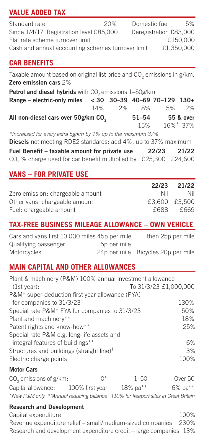# **VALUE ADDED TAX**

| Standard rate                                     | 20% | Domestic fuel          |            | 5% |
|---------------------------------------------------|-----|------------------------|------------|----|
| Since 1/4/17: Registration level £85,000          |     | Deregistration £83,000 |            |    |
| Flat rate scheme turnover limit                   |     |                        | £150,000   |    |
| Cash and annual accounting schemes turnover limit |     |                        | £1.350,000 |    |

## **CAR BENEFITS**

Taxable amount based on original list price and  $CO<sub>2</sub>$  emissions in g/km. **Zero emission cars** 2%

| Petrol and diesel hybrids with CO <sub>2</sub> emissions 1-50g/km |  |         |           |    |           |
|-------------------------------------------------------------------|--|---------|-----------|----|-----------|
| Range - electric-only miles < 30 30-39 40-69 70-129 130+          |  |         |           |    |           |
|                                                                   |  | 14% 12% | 8%        | 5% | 2%        |
| All non-diesel cars over 50g/km CO                                |  |         | $51 - 54$ |    | 55 & over |
|                                                                   |  |         | 15%       |    | 16%*-37%  |

*\*Increased for every extra 5g/km by 1% up to the maximum 37%*

**Diesels** not meeting RDE2 standards: add 4%, up to 37% maximum

|  |  | Fuel Benefit - taxable amount for private use                               | 22/23 | 21/22 |
|--|--|-----------------------------------------------------------------------------|-------|-------|
|  |  | CO <sub>2</sub> % charge used for car benefit multiplied by £25,300 £24,600 |       |       |

## **VANS – FOR PRIVATE USE**

|                                  | 22/23 | 21/22         |
|----------------------------------|-------|---------------|
| Zero emission: chargeable amount | Nil   | Nil           |
| Other vans: chargeable amount    |       | £3,600 £3,500 |
| Fuel: chargeable amount          | £688  | £669          |

# **TAX-FREE BUSINESS MILEAGE ALLOWANCE – OWN VEHICLE**

| Cars and vans first 10,000 miles 45p per mile |             | then 25p per mile                  |
|-----------------------------------------------|-------------|------------------------------------|
| Qualifying passenger                          | 5p per mile |                                    |
| Motorcycles                                   |             | 24p per mile Bicycles 20p per mile |

## **MAIN CAPITAL AND OTHER ALLOWANCES**

| Plant & machinery (P&M) 100% annual investment allowance |                 |                       |         |
|----------------------------------------------------------|-----------------|-----------------------|---------|
| (1st year):                                              |                 | To 31/3/23 £1,000,000 |         |
| P&M* super-deduction first year allowance (FYA)          |                 |                       |         |
| for companies to 31/3/23                                 | 130%            |                       |         |
| Special rate P&M* FYA for companies to 31/3/23           |                 |                       | 50%     |
| Plant and machinery**                                    |                 |                       | 18%     |
| Patent rights and know-how**                             | 25%             |                       |         |
| Special rate P&M e.g. long-life assets and               |                 |                       |         |
| integral features of buildings**                         |                 |                       | 6%      |
| Structures and buildings (straight line) <sup>†</sup>    |                 |                       | 3%      |
| Electric charge points                                   |                 |                       | 100%    |
| <b>Motor Cars</b>                                        |                 |                       |         |
| CO <sub>2</sub> emissions of g/km:                       | 0*              | $1 - 50$              | Over 50 |
| Capital allowance:                                       | 100% first year | 18% pa**              | 6% pa** |

\**New P&M only \*\*Annual reducing balance* †*10% for freeport sites in Great Britain*

## **Research and Development** Capital expenditure 100%

Revenue expenditure relief – small/medium-sized companies 230% Research and development expenditure credit – large companies 13%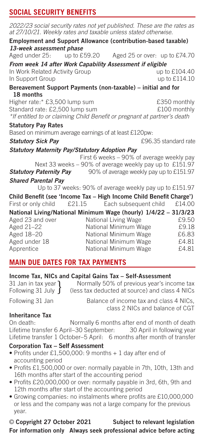## **SOCIAL SECURITY BENEFITS**

| 2022/23 social security rates not yet published. These are the rates as<br>at 27/10/21. Weekly rates and taxable unless stated otherwise. |                                                         |                               |
|-------------------------------------------------------------------------------------------------------------------------------------------|---------------------------------------------------------|-------------------------------|
| Employment and Support Allowance (contribution-based taxable)                                                                             |                                                         |                               |
| 13-week assessment phase                                                                                                                  |                                                         |                               |
| Aged under 25: up to £59.20                                                                                                               |                                                         | Aged 25 or over: up to £74.70 |
| From week 14 after Work Capability Assessment if eligible                                                                                 |                                                         |                               |
| In Work Related Activity Group                                                                                                            |                                                         | up to £104.40                 |
| In Support Group                                                                                                                          |                                                         | up to £114.10                 |
| Bereavement Support Payments (non-taxable) – initial and for                                                                              |                                                         |                               |
| 18 months                                                                                                                                 |                                                         |                               |
| Higher rate:* £3,500 lump sum                                                                                                             |                                                         | £350 monthly                  |
| Standard rate: £2,500 lump sum                                                                                                            |                                                         | £100 monthly                  |
| *If entitled to or claiming Child Benefit or pregnant at partner's death                                                                  |                                                         |                               |
| <b>Statutory Pay Rates</b>                                                                                                                |                                                         |                               |
| Based on minimum average earnings of at least £120pw:                                                                                     |                                                         |                               |
| <b>Statutory Sick Pay</b>                                                                                                                 |                                                         | £96.35 standard rate          |
| <b>Statutory Maternity Pay/Statutory Adoption Pay</b>                                                                                     |                                                         |                               |
|                                                                                                                                           | First 6 weeks - 90% of average weekly pay               |                               |
|                                                                                                                                           | Next 33 weeks - 90% of average weekly pay up to £151.97 |                               |
| <b>Statutory Paternity Pay</b>                                                                                                            | 90% of average weekly pay up to £151.97                 |                               |
| <b>Shared Parental Pav</b>                                                                                                                |                                                         |                               |
|                                                                                                                                           | Up to 37 weeks: 90% of average weekly pay up to £151.97 |                               |
| Child Benefit (see 'Income Tax - High Income Child Benefit Charge')                                                                       |                                                         |                               |
| First or only child                                                                                                                       | £21.15 Each subsequent child                            | £14.00                        |
| National Living/National Minimum Wage (hourly) 1/4/22 - 31/3/23                                                                           |                                                         |                               |
| Aged 23 and over                                                                                                                          | National Living Wage                                    | £9.50                         |
| Aged 21-22                                                                                                                                | National Minimum Wage                                   | £9.18                         |
| Aged 18-20                                                                                                                                | National Minimum Wage                                   | £6.83                         |
| Aged under 18                                                                                                                             | National Minimum Wage                                   | £4.81                         |
| Apprentice                                                                                                                                | National Minimum Wage                                   | £4.81                         |

# **MAIN DUE DATES FOR TAX PAYMENTS**

|  |  |  | Income Tax, NICs and Capital Gains Tax - Self-Assessment |
|--|--|--|----------------------------------------------------------|
|  |  |  |                                                          |

| 31 Jan in tax year 1     | Normally 50% of previous year's income tax     |
|--------------------------|------------------------------------------------|
| Following 31 July $\int$ | (less tax deducted at source) and class 4 NICs |

Following 31 Jan Balance of income tax and class 4 NICs, class 2 NICs and balance of CGT

## **Inheritance Tax**

On death: Normally 6 months after end of month of death Lifetime transfer 6 April–30 September: 30 April in following year Lifetime transfer 1 October–5 April: 6 months after month of transfer

## **Corporation Tax – Self Assessment**

- Profits under £1,500,000: 9 months + 1 day after end of accounting period
- Profits £1,500,000 or over: normally payable in 7th, 10th, 13th and 16th months after start of the accounting period
- Profits £20,000,000 or over: normally payable in 3rd, 6th, 9th and 12th months after start of the accounting period
- Growing companies: no instalments where profits are £10,000,000 or less and the company was not a large company for the previous year.

© **Copyright 27 October 2021 Subject to relevant legislation For information only Always seek professional advice before acting**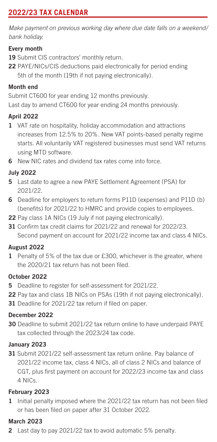# **2022/23 TAX CALENDAR**

*Make payment on previous working day where due date falls on a weekend/ bank holiday.*

#### **Every month**

- 19 Submit CIS contractors' monthly return.
- **22** PAYE/NICs/CIS deductions paid electronically for period ending 5th of the month (19th if not paying electronically).

#### **Month end**

Submit CT600 for year ending 12 months previously. Last day to amend CT600 for year ending 24 months previously.

## **April 2022**

- **1** VAT rate on hospitality, holiday accommodation and attractions increases from 12.5% to 20%. New VAT points-based penalty regime starts. All voluntarily VAT registered businesses must send VAT returns using MTD software.
- **6** New NIC rates and dividend tax rates come into force.

#### **July 2022**

- **5** Last date to agree a new PAYE Settlement Agreement (PSA) for 2021/22.
- **6** Deadline for employers to return forms P11D (expenses) and P11D (b) (benefits) for 2021/22 to HMRC and provide copies to employees.
- **22** Pay class 1A NICs (19 July if not paying electronically).
- **31** Confirm tax credit claims for 2021/22 and renewal for 2022/23. Second payment on account for 2021/22 income tax and class 4 NICs.

#### **August 2022**

**1** Penalty of 5% of the tax due or £300, whichever is the greater, where the 2020/21 tax return has not been filed.

#### **October 2022**

- **5** Deadline to register for self-assessment for 2021/22.
- **22** Pay tax and class 1B NICs on PSAs (19th if not paying electronically).
- **31** Deadline for 2021/22 tax return if filed on paper.

#### **December 2022**

**30** Deadline to submit 2021/22 tax return online to have underpaid PAYE tax collected through the 2023/24 tax code.

#### **January 2023**

**31** Submit 2021/22 self-assessment tax return online. Pay balance of 2021/22 income tax, class 4 NICs, all of class 2 NICs and balance of CGT, plus first payment on account for 2022/23 income tax and class 4 NICs.

#### **February 2023**

**1** Initial penalty imposed where the 2021/22 tax return has not been filed or has been filed on paper after 31 October 2022.

## **March 2023**

**2** Last day to pay 2021/22 tax to avoid automatic 5% penalty.